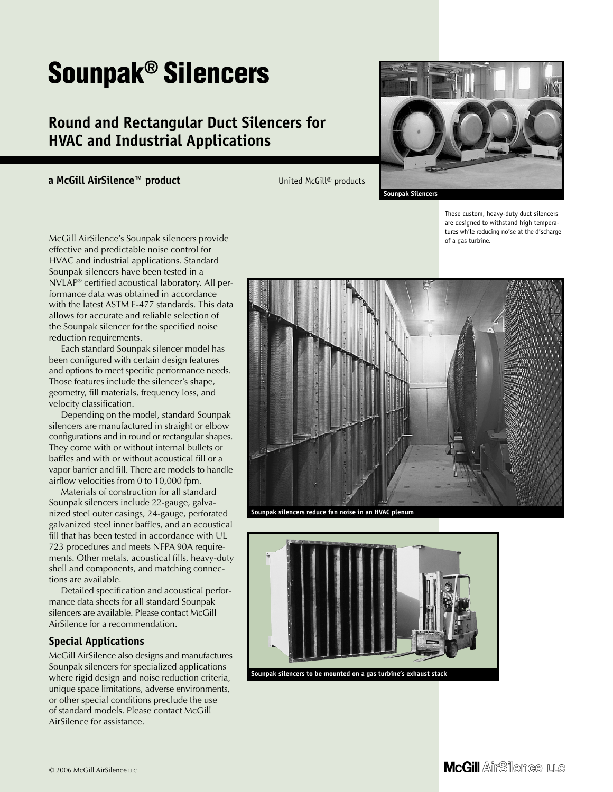# **Sounpak® Silencers**

## **Round and Rectangular Duct Silencers for HVAC and Industrial Applications**

**a McGill AirSilence™ product** United McGill® products



**Sounpak Silencers**

These custom, heavy-duty duct silencers are designed to withstand high temperatures while reducing noise at the discharge of a gas turbine.

**McGill AirSilence LLC** 

McGill AirSilence's Sounpak silencers provide effective and predictable noise control for HVAC and industrial applications. Standard Sounpak silencers have been tested in a NVLAP® certified acoustical laboratory. All performance data was obtained in accordance with the latest ASTM E-477 standards. This data allows for accurate and reliable selection of the Sounpak silencer for the specified noise reduction requirements.

Each standard Sounpak silencer model has been configured with certain design features and options to meet specific performance needs. Those features include the silencer's shape, geometry, fill materials, frequency loss, and velocity classification.

Depending on the model, standard Sounpak silencers are manufactured in straight or elbow configurations and in round or rectangular shapes. They come with or without internal bullets or baffles and with or without acoustical fill or a vapor barrier and fill. There are models to handle airflow velocities from 0 to 10,000 fpm.

Materials of construction for all standard Sounpak silencers include 22-gauge, galvanized steel outer casings, 24-gauge, perforated galvanized steel inner baffles, and an acoustical fill that has been tested in accordance with UL 723 procedures and meets NFPA 90A requirements. Other metals, acoustical fills, heavy-duty shell and components, and matching connections are available.

Detailed specification and acoustical performance data sheets for all standard Sounpak silencers are available. Please contact McGill AirSilence for a recommendation.

#### **Special Applications**

© 2006 McGill AirSilence LLC

McGill AirSilence also designs and manufactures Sounpak silencers for specialized applications where rigid design and noise reduction criteria, unique space limitations, adverse environments, or other special conditions preclude the use of standard models. Please contact McGill AirSilence for assistance.



**Sounpak silencers reduce fan noise in an HVAC plenum**